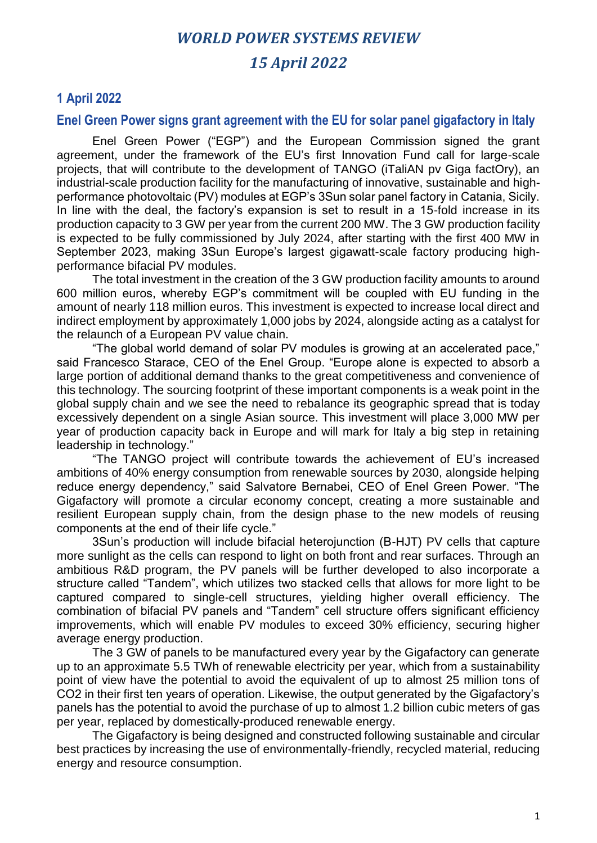# *WORLD POWER SYSTEMS REVIEW 15 April 2022*

## **1 April 2022**

#### **Enel Green Power signs grant agreement with the EU for solar panel gigafactory in Italy**

Enel Green Power ("EGP") and the European Commission signed the grant agreement, under the framework of the EU's first Innovation Fund call for large-scale projects, that will contribute to the development of TANGO (iTaliAN pv Giga factOry), an industrial-scale production facility for the manufacturing of innovative, sustainable and highperformance photovoltaic (PV) modules at EGP's 3Sun solar panel factory in Catania, Sicily. In line with the deal, the factory's expansion is set to result in a 15-fold increase in its production capacity to 3 GW per year from the current 200 MW. The 3 GW production facility is expected to be fully commissioned by July 2024, after starting with the first 400 MW in September 2023, making 3Sun Europe's largest gigawatt-scale factory producing highperformance bifacial PV modules.

The total investment in the creation of the 3 GW production facility amounts to around 600 million euros, whereby EGP's commitment will be coupled with EU funding in the amount of nearly 118 million euros. This investment is expected to increase local direct and indirect employment by approximately 1,000 jobs by 2024, alongside acting as a catalyst for the relaunch of a European PV value chain.

"The global world demand of solar PV modules is growing at an accelerated pace," said Francesco Starace, CEO of the Enel Group. "Europe alone is expected to absorb a large portion of additional demand thanks to the great competitiveness and convenience of this technology. The sourcing footprint of these important components is a weak point in the global supply chain and we see the need to rebalance its geographic spread that is today excessively dependent on a single Asian source. This investment will place 3,000 MW per year of production capacity back in Europe and will mark for Italy a big step in retaining leadership in technology."

"The TANGO project will contribute towards the achievement of EU's increased ambitions of 40% energy consumption from renewable sources by 2030, alongside helping reduce energy dependency," said Salvatore Bernabei, CEO of Enel Green Power. "The Gigafactory will promote a circular economy concept, creating a more sustainable and resilient European supply chain, from the design phase to the new models of reusing components at the end of their life cycle."

3Sun's production will include bifacial heterojunction (B-HJT) PV cells that capture more sunlight as the cells can respond to light on both front and rear surfaces. Through an ambitious R&D program, the PV panels will be further developed to also incorporate a structure called "Tandem", which utilizes two stacked cells that allows for more light to be captured compared to single-cell structures, yielding higher overall efficiency. The combination of bifacial PV panels and "Tandem" cell structure offers significant efficiency improvements, which will enable PV modules to exceed 30% efficiency, securing higher average energy production.

The 3 GW of panels to be manufactured every year by the Gigafactory can generate up to an approximate 5.5 TWh of renewable electricity per year, which from a sustainability point of view have the potential to avoid the equivalent of up to almost 25 million tons of CO2 in their first ten years of operation. Likewise, the output generated by the Gigafactory's panels has the potential to avoid the purchase of up to almost 1.2 billion cubic meters of gas per year, replaced by domestically-produced renewable energy.

The Gigafactory is being designed and constructed following sustainable and circular best practices by increasing the use of environmentally-friendly, recycled material, reducing energy and resource consumption.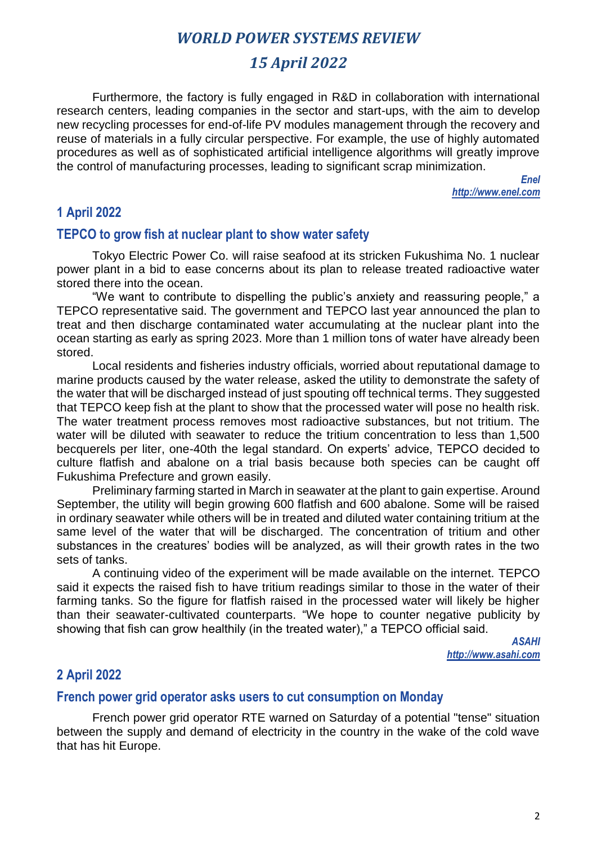## *15 April 2022*

Furthermore, the factory is fully engaged in R&D in collaboration with international research centers, leading companies in the sector and start-ups, with the aim to develop new recycling processes for end-of-life PV modules management through the recovery and reuse of materials in a fully circular perspective. For example, the use of highly automated procedures as well as of sophisticated artificial intelligence algorithms will greatly improve the control of manufacturing processes, leading to significant scrap minimization.

> *Enel http://www.enel.com*

#### **1 April 2022**

#### **TEPCO to grow fish at nuclear plant to show water safety**

Tokyo Electric Power Co. will raise seafood at its stricken Fukushima No. 1 nuclear power plant in a bid to ease concerns about its plan to release treated radioactive water stored there into the ocean.

"We want to contribute to dispelling the public's anxiety and reassuring people," a TEPCO representative said. The government and TEPCO last year announced the plan to treat and then discharge contaminated water accumulating at the nuclear plant into the ocean starting as early as spring 2023. More than 1 million tons of water have already been stored.

Local residents and fisheries industry officials, worried about reputational damage to marine products caused by the water release, asked the utility to demonstrate the safety of the water that will be discharged instead of just spouting off technical terms. They suggested that TEPCO keep fish at the plant to show that the processed water will pose no health risk. The water treatment process removes most radioactive substances, but not tritium. The water will be diluted with seawater to reduce the tritium concentration to less than 1,500 becquerels per liter, one-40th the legal standard. On experts' advice, TEPCO decided to culture flatfish and abalone on a trial basis because both species can be caught off Fukushima Prefecture and grown easily.

Preliminary farming started in March in seawater at the plant to gain expertise. Around September, the utility will begin growing 600 flatfish and 600 abalone. Some will be raised in ordinary seawater while others will be in treated and diluted water containing tritium at the same level of the water that will be discharged. The concentration of tritium and other substances in the creatures' bodies will be analyzed, as will their growth rates in the two sets of tanks.

A continuing video of the experiment will be made available on the internet. TEPCO said it expects the raised fish to have tritium readings similar to those in the water of their farming tanks. So the figure for flatfish raised in the processed water will likely be higher than their seawater-cultivated counterparts. "We hope to counter negative publicity by showing that fish can grow healthily (in the treated water)," a TEPCO official said.

> *ASAHI http://www.asahi.com*

## **2 April 2022**

#### **French power grid operator asks users to cut consumption on Monday**

French power grid operator RTE warned on Saturday of a potential "tense" situation between the supply and demand of electricity in the country in the wake of the cold wave that has hit Europe.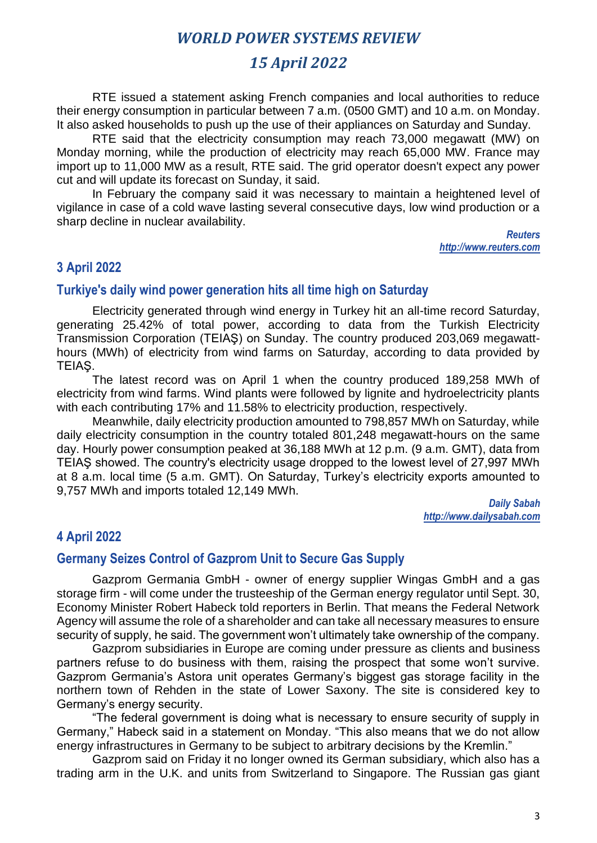## *15 April 2022*

RTE issued a statement asking French companies and local authorities to reduce their energy consumption in particular between 7 a.m. (0500 GMT) and 10 a.m. on Monday. It also asked households to push up the use of their appliances on Saturday and Sunday.

RTE said that the electricity consumption may reach 73,000 megawatt (MW) on Monday morning, while the production of electricity may reach 65,000 MW. France may import up to 11,000 MW as a result, RTE said. The grid operator doesn't expect any power cut and will update its forecast on Sunday, it said.

In February the company said it was necessary to maintain a heightened level of vigilance in case of a cold wave lasting several consecutive days, low wind production or a sharp decline in nuclear availability.

> *Reuters http://www.reuters.com*

#### **3 April 2022**

#### **Turkiye's daily wind power generation hits all time high on Saturday**

Electricity generated through wind energy in Turkey hit an all-time record Saturday, generating 25.42% of total power, according to data from the Turkish Electricity Transmission Corporation (TEIAŞ) on Sunday. The country produced 203,069 megawatthours (MWh) of electricity from wind farms on Saturday, according to data provided by TEIAŞ.

The latest record was on April 1 when the country produced 189,258 MWh of electricity from wind farms. Wind plants were followed by lignite and hydroelectricity plants with each contributing 17% and 11.58% to electricity production, respectively.

Meanwhile, daily electricity production amounted to 798,857 MWh on Saturday, while daily electricity consumption in the country totaled 801,248 megawatt-hours on the same day. Hourly power consumption peaked at 36,188 MWh at 12 p.m. (9 a.m. GMT), data from TEIAŞ showed. The country's electricity usage dropped to the lowest level of 27,997 MWh at 8 a.m. local time (5 a.m. GMT). On Saturday, Turkey's electricity exports amounted to 9,757 MWh and imports totaled 12,149 MWh.

> *Daily Sabah http://www.dailysabah.com*

#### **4 April 2022**

#### **Germany Seizes Control of Gazprom Unit to Secure Gas Supply**

Gazprom Germania GmbH - owner of energy supplier Wingas GmbH and a gas storage firm - will come under the trusteeship of the German energy regulator until Sept. 30, Economy Minister Robert Habeck told reporters in Berlin. That means the Federal Network Agency will assume the role of a shareholder and can take all necessary measures to ensure security of supply, he said. The government won't ultimately take ownership of the company.

Gazprom subsidiaries in Europe are coming under pressure as clients and business partners refuse to do business with them, raising the prospect that some won't survive. Gazprom Germania's Astora unit operates Germany's biggest gas storage facility in the northern town of Rehden in the state of Lower Saxony. The site is considered key to Germany's energy security.

"The federal government is doing what is necessary to ensure security of supply in Germany," Habeck said in a statement on Monday. "This also means that we do not allow energy infrastructures in Germany to be subject to arbitrary decisions by the Kremlin."

Gazprom said on Friday it no longer owned its German subsidiary, which also has a trading arm in the U.K. and units from Switzerland to Singapore. The Russian gas giant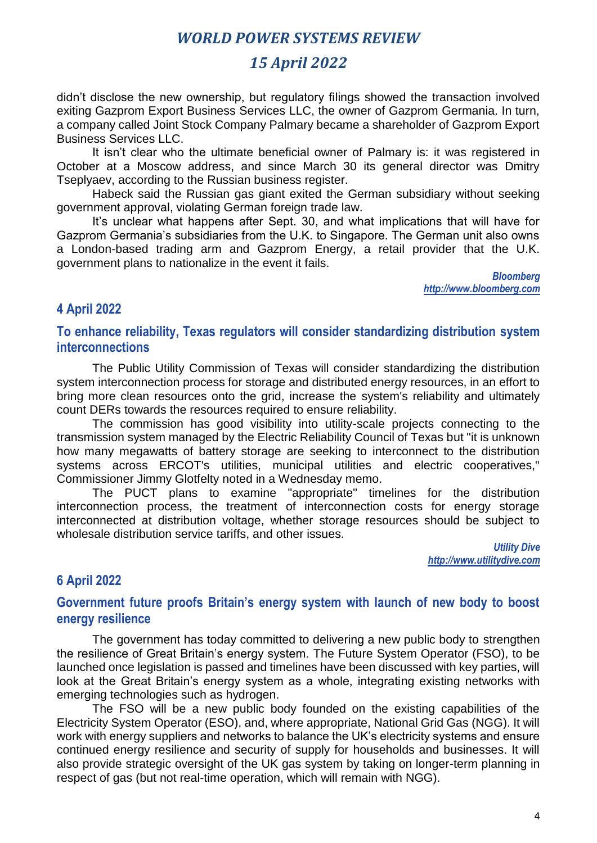## *15 April 2022*

didn't disclose the new ownership, but regulatory filings showed the transaction involved exiting Gazprom Export Business Services LLC, the owner of Gazprom Germania. In turn, a company called Joint Stock Company Palmary became a shareholder of Gazprom Export Business Services LLC.

It isn't clear who the ultimate beneficial owner of Palmary is: it was registered in October at a Moscow address, and since March 30 its general director was Dmitry Tseplyaev, according to the Russian business register.

Habeck said the Russian gas giant exited the German subsidiary without seeking government approval, violating German foreign trade law.

It's unclear what happens after Sept. 30, and what implications that will have for Gazprom Germania's subsidiaries from the U.K. to Singapore. The German unit also owns a London-based trading arm and Gazprom Energy, a retail provider that the U.K. government plans to nationalize in the event it fails.

> *Bloomberg http://www.bloomberg.com*

## **4 April 2022**

#### **To enhance reliability, Texas regulators will consider standardizing distribution system interconnections**

The Public Utility Commission of Texas will consider standardizing the distribution system interconnection process for storage and distributed energy resources, in an effort to bring more clean resources onto the grid, increase the system's reliability and ultimately count DERs towards the resources required to ensure reliability.

The commission has good visibility into utility-scale projects connecting to the transmission system managed by the Electric Reliability Council of Texas but "it is unknown how many megawatts of battery storage are seeking to interconnect to the distribution systems across ERCOT's utilities, municipal utilities and electric cooperatives," Commissioner Jimmy Glotfelty noted in a Wednesday memo.

The PUCT plans to examine "appropriate" timelines for the distribution interconnection process, the treatment of interconnection costs for energy storage interconnected at distribution voltage, whether storage resources should be subject to wholesale distribution service tariffs, and other issues.

> *Utility Dive http://www.utilitydive.com*

## **6 April 2022**

#### **Government future proofs Britain's energy system with launch of new body to boost energy resilience**

The government has today committed to delivering a new public body to strengthen the resilience of Great Britain's energy system. The Future System Operator (FSO), to be launched once legislation is passed and timelines have been discussed with key parties, will look at the Great Britain's energy system as a whole, integrating existing networks with emerging technologies such as hydrogen.

The FSO will be a new public body founded on the existing capabilities of the Electricity System Operator (ESO), and, where appropriate, National Grid Gas (NGG). It will work with energy suppliers and networks to balance the UK's electricity systems and ensure continued energy resilience and security of supply for households and businesses. It will also provide strategic oversight of the UK gas system by taking on longer-term planning in respect of gas (but not real-time operation, which will remain with NGG).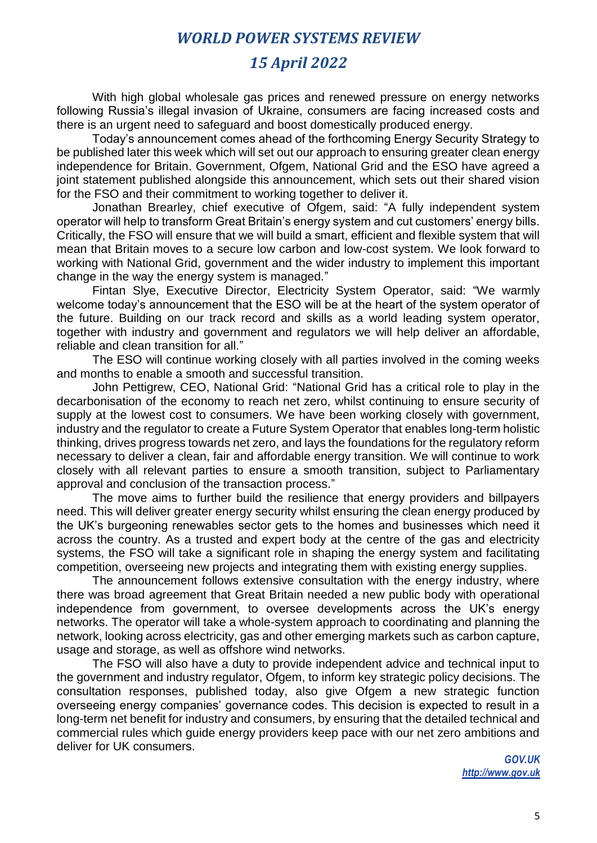## *15 April 2022*

With high global wholesale gas prices and renewed pressure on energy networks following Russia's illegal invasion of Ukraine, consumers are facing increased costs and there is an urgent need to safeguard and boost domestically produced energy.

Today's announcement comes ahead of the forthcoming Energy Security Strategy to be published later this week which will set out our approach to ensuring greater clean energy independence for Britain. Government, Ofgem, National Grid and the ESO have agreed a joint statement published alongside this announcement, which sets out their shared vision for the FSO and their commitment to working together to deliver it.

Jonathan Brearley, chief executive of Ofgem, said: "A fully independent system operator will help to transform Great Britain's energy system and cut customers' energy bills. Critically, the FSO will ensure that we will build a smart, efficient and flexible system that will mean that Britain moves to a secure low carbon and low-cost system. We look forward to working with National Grid, government and the wider industry to implement this important change in the way the energy system is managed."

Fintan Slye, Executive Director, Electricity System Operator, said: "We warmly welcome today's announcement that the ESO will be at the heart of the system operator of the future. Building on our track record and skills as a world leading system operator, together with industry and government and regulators we will help deliver an affordable, reliable and clean transition for all."

The ESO will continue working closely with all parties involved in the coming weeks and months to enable a smooth and successful transition.

John Pettigrew, CEO, National Grid: "National Grid has a critical role to play in the decarbonisation of the economy to reach net zero, whilst continuing to ensure security of supply at the lowest cost to consumers. We have been working closely with government, industry and the regulator to create a Future System Operator that enables long-term holistic thinking, drives progress towards net zero, and lays the foundations for the regulatory reform necessary to deliver a clean, fair and affordable energy transition. We will continue to work closely with all relevant parties to ensure a smooth transition, subject to Parliamentary approval and conclusion of the transaction process."

The move aims to further build the resilience that energy providers and billpayers need. This will deliver greater energy security whilst ensuring the clean energy produced by the UK's burgeoning renewables sector gets to the homes and businesses which need it across the country. As a trusted and expert body at the centre of the gas and electricity systems, the FSO will take a significant role in shaping the energy system and facilitating competition, overseeing new projects and integrating them with existing energy supplies.

The announcement follows extensive consultation with the energy industry, where there was broad agreement that Great Britain needed a new public body with operational independence from government, to oversee developments across the UK's energy networks. The operator will take a whole-system approach to coordinating and planning the network, looking across electricity, gas and other emerging markets such as carbon capture, usage and storage, as well as offshore wind networks.

The FSO will also have a duty to provide independent advice and technical input to the government and industry regulator, Ofgem, to inform key strategic policy decisions. The consultation responses, published today, also give Ofgem a new strategic function overseeing energy companies' governance codes. This decision is expected to result in a long-term net benefit for industry and consumers, by ensuring that the detailed technical and commercial rules which guide energy providers keep pace with our net zero ambitions and deliver for UK consumers.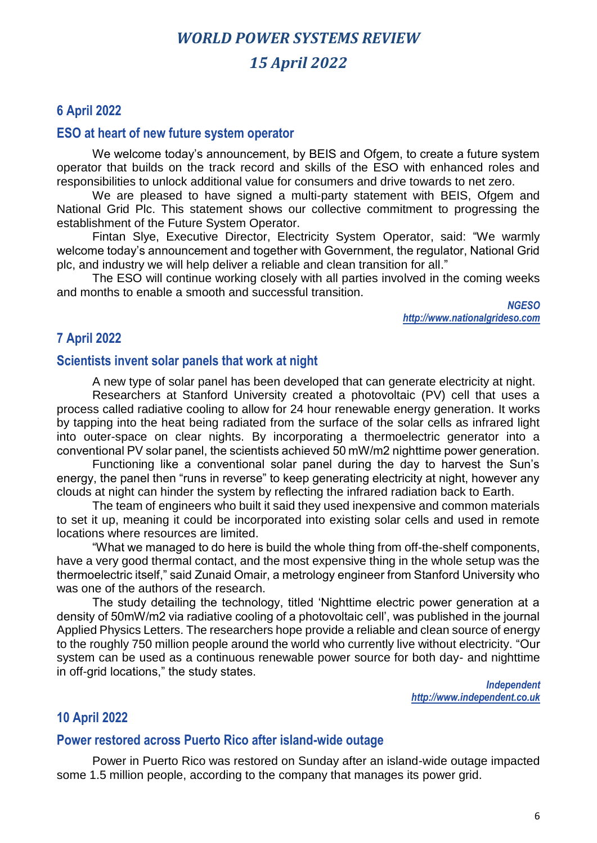# *WORLD POWER SYSTEMS REVIEW 15 April 2022*

#### **6 April 2022**

#### **ESO at heart of new future system operator**

We welcome today's announcement, by BEIS and Ofgem, to create a future system operator that builds on the track record and skills of the ESO with enhanced roles and responsibilities to unlock additional value for consumers and drive towards to net zero.

We are pleased to have signed a multi-party statement with BEIS, Ofgem and National Grid Plc. This statement shows our collective commitment to progressing the establishment of the Future System Operator.

Fintan Slye, Executive Director, Electricity System Operator, said: "We warmly welcome today's announcement and together with Government, the regulator, National Grid plc, and industry we will help deliver a reliable and clean transition for all."

The ESO will continue working closely with all parties involved in the coming weeks and months to enable a smooth and successful transition.

> *NGESO [http://www.nationalgrideso.com](http://www.nationalgrideso.com/)*

## **7 April 2022**

#### **Scientists invent solar panels that work at night**

A new type of solar panel has been developed that can generate electricity at night.

Researchers at Stanford University created a photovoltaic (PV) cell that uses a process called radiative cooling to allow for 24 hour renewable energy generation. It works by tapping into the heat being radiated from the surface of the solar cells as infrared light into outer-space on clear nights. By incorporating a thermoelectric generator into a conventional PV solar panel, the scientists achieved 50 mW/m2 nighttime power generation.

Functioning like a conventional solar panel during the day to harvest the Sun's energy, the panel then "runs in reverse" to keep generating electricity at night, however any clouds at night can hinder the system by reflecting the infrared radiation back to Earth.

The team of engineers who built it said they used inexpensive and common materials to set it up, meaning it could be incorporated into existing solar cells and used in remote locations where resources are limited.

"What we managed to do here is build the whole thing from off-the-shelf components, have a very good thermal contact, and the most expensive thing in the whole setup was the thermoelectric itself," said Zunaid Omair, a metrology engineer from Stanford University who was one of the authors of the research.

The study detailing the technology, titled 'Nighttime electric power generation at a density of 50mW/m2 via radiative cooling of a photovoltaic cell', was published in the journal Applied Physics Letters. The researchers hope provide a reliable and clean source of energy to the roughly 750 million people around the world who currently live without electricity. "Our system can be used as a continuous renewable power source for both day- and nighttime in off-grid locations," the study states.

*Independent http://www.independent.co.uk* 

#### **10 April 2022**

#### **Power restored across Puerto Rico after island-wide outage**

Power in Puerto Rico was restored on Sunday after an island-wide outage impacted some 1.5 million people, according to the company that manages its power grid.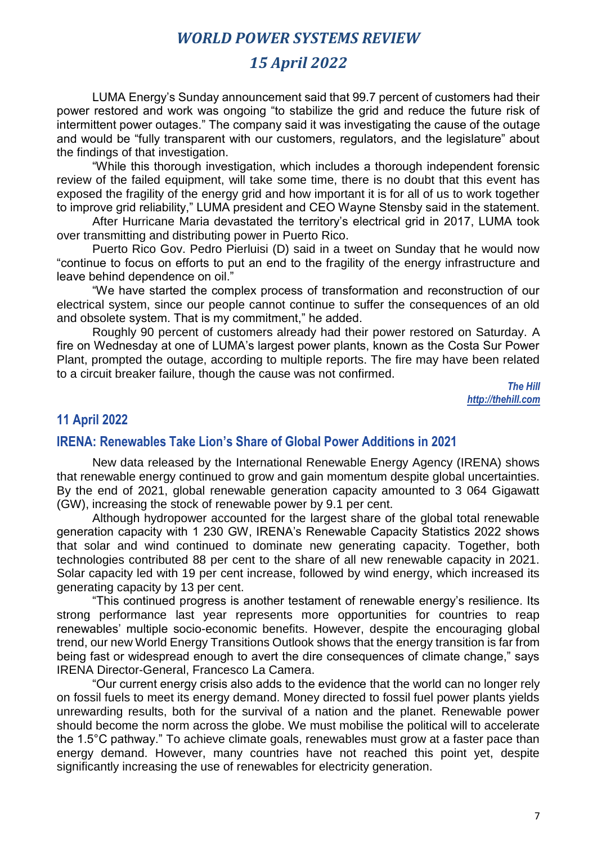## *15 April 2022*

LUMA Energy's Sunday announcement said that 99.7 percent of customers had their power restored and work was ongoing "to stabilize the grid and reduce the future risk of intermittent power outages." The company said it was investigating the cause of the outage and would be "fully transparent with our customers, regulators, and the legislature" about the findings of that investigation.

"While this thorough investigation, which includes a thorough independent forensic review of the failed equipment, will take some time, there is no doubt that this event has exposed the fragility of the energy grid and how important it is for all of us to work together to improve grid reliability," LUMA president and CEO Wayne Stensby said in the statement.

After Hurricane Maria devastated the territory's electrical grid in 2017, LUMA took over transmitting and distributing power in Puerto Rico.

Puerto Rico Gov. Pedro Pierluisi (D) said in a tweet on Sunday that he would now "continue to focus on efforts to put an end to the fragility of the energy infrastructure and leave behind dependence on oil."

"We have started the complex process of transformation and reconstruction of our electrical system, since our people cannot continue to suffer the consequences of an old and obsolete system. That is my commitment," he added.

Roughly 90 percent of customers already had their power restored on Saturday. A fire on Wednesday at one of LUMA's largest power plants, known as the Costa Sur Power Plant, prompted the outage, according to multiple reports. The fire may have been related to a circuit breaker failure, though the cause was not confirmed.

> *The Hill http://thehill.com*

#### **11 April 2022**

## **IRENA: Renewables Take Lion's Share of Global Power Additions in 2021**

New data released by the International Renewable Energy Agency (IRENA) shows that renewable energy continued to grow and gain momentum despite global uncertainties. By the end of 2021, global renewable generation capacity amounted to 3 064 Gigawatt (GW), increasing the stock of renewable power by 9.1 per cent.

Although hydropower accounted for the largest share of the global total renewable generation capacity with 1 230 GW, IRENA's Renewable Capacity Statistics 2022 shows that solar and wind continued to dominate new generating capacity. Together, both technologies contributed 88 per cent to the share of all new renewable capacity in 2021. Solar capacity led with 19 per cent increase, followed by wind energy, which increased its generating capacity by 13 per cent.

"This continued progress is another testament of renewable energy's resilience. Its strong performance last year represents more opportunities for countries to reap renewables' multiple socio-economic benefits. However, despite the encouraging global trend, our new World Energy Transitions Outlook shows that the energy transition is far from being fast or widespread enough to avert the dire consequences of climate change," says IRENA Director-General, Francesco La Camera.

"Our current energy crisis also adds to the evidence that the world can no longer rely on fossil fuels to meet its energy demand. Money directed to fossil fuel power plants yields unrewarding results, both for the survival of a nation and the planet. Renewable power should become the norm across the globe. We must mobilise the political will to accelerate the 1.5°C pathway." To achieve climate goals, renewables must grow at a faster pace than energy demand. However, many countries have not reached this point yet, despite significantly increasing the use of renewables for electricity generation.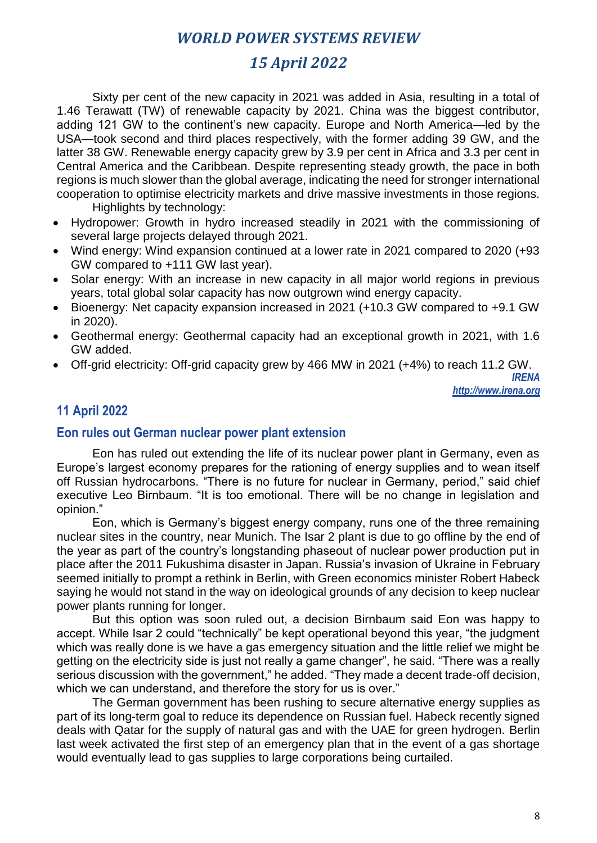## *15 April 2022*

Sixty per cent of the new capacity in 2021 was added in Asia, resulting in a total of 1.46 Terawatt (TW) of renewable capacity by 2021. China was the biggest contributor, adding 121 GW to the continent's new capacity. Europe and North America—led by the USA—took second and third places respectively, with the former adding 39 GW, and the latter 38 GW. Renewable energy capacity grew by 3.9 per cent in Africa and 3.3 per cent in Central America and the Caribbean. Despite representing steady growth, the pace in both regions is much slower than the global average, indicating the need for stronger international cooperation to optimise electricity markets and drive massive investments in those regions. Highlights by technology:

- Hydropower: Growth in hydro increased steadily in 2021 with the commissioning of several large projects delayed through 2021.
- Wind energy: Wind expansion continued at a lower rate in 2021 compared to 2020 (+93 GW compared to +111 GW last year).
- Solar energy: With an increase in new capacity in all major world regions in previous years, total global solar capacity has now outgrown wind energy capacity.
- Bioenergy: Net capacity expansion increased in 2021 (+10.3 GW compared to +9.1 GW in 2020).
- Geothermal energy: Geothermal capacity had an exceptional growth in 2021, with 1.6 GW added.
- Off-grid electricity: Off-grid capacity grew by 466 MW in 2021 (+4%) to reach 11.2 GW.

*IRENA http://www.irena.org*

## **11 April 2022**

#### **Eon rules out German nuclear power plant extension**

Eon has ruled out extending the life of its nuclear power plant in Germany, even as Europe's largest economy prepares for the rationing of energy supplies and to wean itself off Russian hydrocarbons. "There is no future for nuclear in Germany, period," said chief executive Leo Birnbaum. "It is too emotional. There will be no change in legislation and opinion."

Eon, which is Germany's biggest energy company, runs one of the three remaining nuclear sites in the country, near Munich. The Isar 2 plant is due to go offline by the end of the year as part of the country's longstanding phaseout of nuclear power production put in place after the 2011 Fukushima disaster in Japan. Russia's invasion of Ukraine in February seemed initially to prompt a rethink in Berlin, with Green economics minister Robert Habeck saying he would not stand in the way on ideological grounds of any decision to keep nuclear power plants running for longer.

But this option was soon ruled out, a decision Birnbaum said Eon was happy to accept. While Isar 2 could "technically" be kept operational beyond this year, "the judgment which was really done is we have a gas emergency situation and the little relief we might be getting on the electricity side is just not really a game changer", he said. "There was a really serious discussion with the government," he added. "They made a decent trade-off decision, which we can understand, and therefore the story for us is over."

The German government has been rushing to secure alternative energy supplies as part of its long-term goal to reduce its dependence on Russian fuel. Habeck recently signed deals with Qatar for the supply of natural gas and with the UAE for green hydrogen. Berlin last week activated the first step of an emergency plan that in the event of a gas shortage would eventually lead to gas supplies to large corporations being curtailed.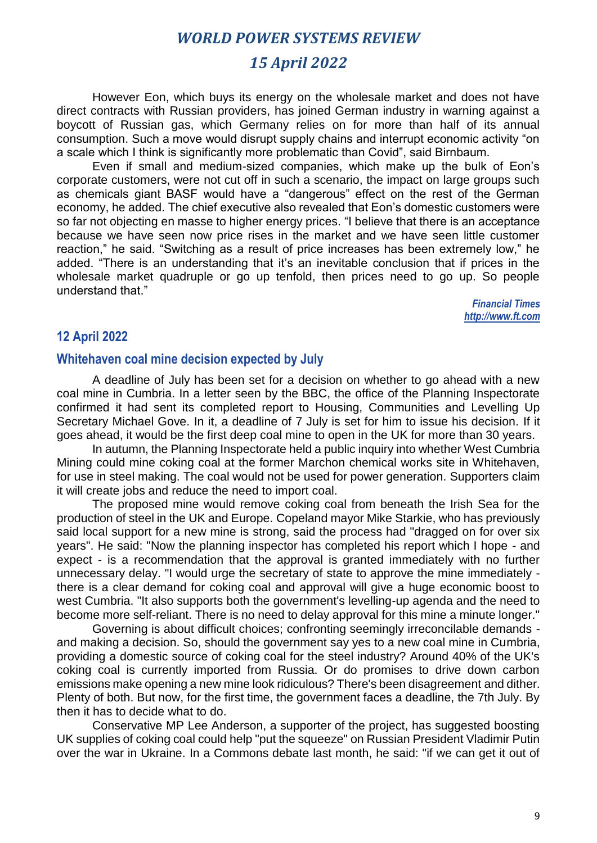## *15 April 2022*

However Eon, which buys its energy on the wholesale market and does not have direct contracts with Russian providers, has joined German industry in warning against a boycott of Russian gas, which Germany relies on for more than half of its annual consumption. Such a move would disrupt supply chains and interrupt economic activity "on a scale which I think is significantly more problematic than Covid", said Birnbaum.

Even if small and medium-sized companies, which make up the bulk of Eon's corporate customers, were not cut off in such a scenario, the impact on large groups such as chemicals giant BASF would have a "dangerous" effect on the rest of the German economy, he added. The chief executive also revealed that Eon's domestic customers were so far not objecting en masse to higher energy prices. "I believe that there is an acceptance because we have seen now price rises in the market and we have seen little customer reaction," he said. "Switching as a result of price increases has been extremely low," he added. "There is an understanding that it's an inevitable conclusion that if prices in the wholesale market quadruple or go up tenfold, then prices need to go up. So people understand that."

*Financial Times http://www.ft.com*

#### **12 April 2022**

#### **Whitehaven coal mine decision expected by July**

A deadline of July has been set for a decision on whether to go ahead with a new coal mine in Cumbria. In a letter seen by the BBC, the office of the Planning Inspectorate confirmed it had sent its completed report to Housing, Communities and Levelling Up Secretary Michael Gove. In it, a deadline of 7 July is set for him to issue his decision. If it goes ahead, it would be the first deep coal mine to open in the UK for more than 30 years.

In autumn, the Planning Inspectorate held a public inquiry into whether West Cumbria Mining could mine coking coal at the former Marchon chemical works site in Whitehaven, for use in steel making. The coal would not be used for power generation. Supporters claim it will create jobs and reduce the need to import coal.

The proposed mine would remove coking coal from beneath the Irish Sea for the production of steel in the UK and Europe. Copeland mayor Mike Starkie, who has previously said local support for a new mine is strong, said the process had "dragged on for over six years". He said: "Now the planning inspector has completed his report which I hope - and expect - is a recommendation that the approval is granted immediately with no further unnecessary delay. "I would urge the secretary of state to approve the mine immediately there is a clear demand for coking coal and approval will give a huge economic boost to west Cumbria. "It also supports both the government's levelling-up agenda and the need to become more self-reliant. There is no need to delay approval for this mine a minute longer."

Governing is about difficult choices; confronting seemingly irreconcilable demands and making a decision. So, should the government say yes to a new coal mine in Cumbria, providing a domestic source of coking coal for the steel industry? Around 40% of the UK's coking coal is currently imported from Russia. Or do promises to drive down carbon emissions make opening a new mine look ridiculous? There's been disagreement and dither. Plenty of both. But now, for the first time, the government faces a deadline, the 7th July. By then it has to decide what to do.

Conservative MP Lee Anderson, a supporter of the project, has suggested boosting UK supplies of coking coal could help "put the squeeze" on Russian President Vladimir Putin over the war in Ukraine. In a Commons debate last month, he said: "if we can get it out of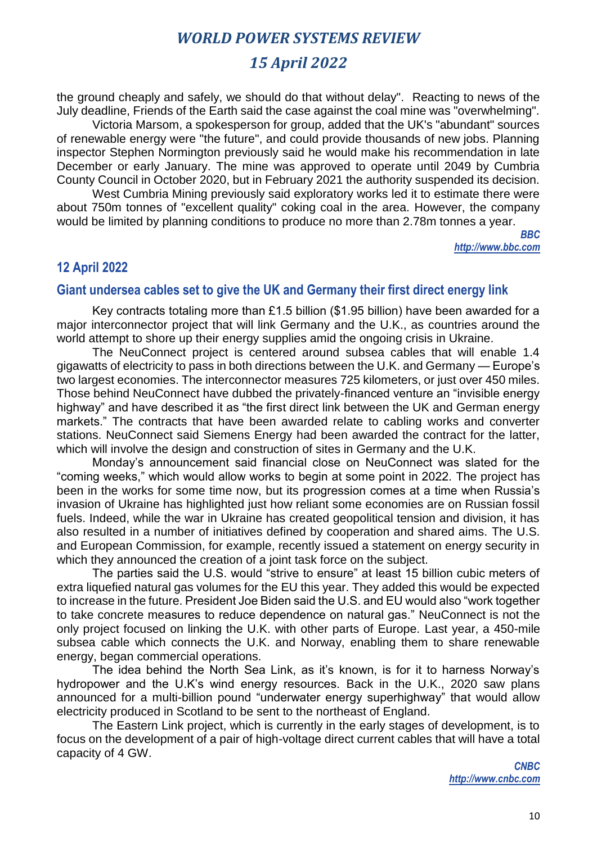## *15 April 2022*

the ground cheaply and safely, we should do that without delay". Reacting to news of the July deadline, Friends of the Earth said the case against the coal mine was "overwhelming".

Victoria Marsom, a spokesperson for group, added that the UK's "abundant" sources of renewable energy were "the future", and could provide thousands of new jobs. Planning inspector Stephen Normington previously said he would make his recommendation in late December or early January. The mine was approved to operate until 2049 by Cumbria County Council in October 2020, but in February 2021 the authority suspended its decision.

West Cumbria Mining previously said exploratory works led it to estimate there were about 750m tonnes of "excellent quality" coking coal in the area. However, the company would be limited by planning conditions to produce no more than 2.78m tonnes a year.

> *BBC http://www.bbc.com*

#### **12 April 2022**

#### **Giant undersea cables set to give the UK and Germany their first direct energy link**

Key contracts totaling more than £1.5 billion (\$1.95 billion) have been awarded for a major interconnector project that will link Germany and the U.K., as countries around the world attempt to shore up their energy supplies amid the ongoing crisis in Ukraine.

The NeuConnect project is centered around subsea cables that will enable 1.4 gigawatts of electricity to pass in both directions between the U.K. and Germany — Europe's two largest economies. The interconnector measures 725 kilometers, or just over 450 miles. Those behind NeuConnect have dubbed the privately-financed venture an "invisible energy highway" and have described it as "the first direct link between the UK and German energy markets." The contracts that have been awarded relate to cabling works and converter stations. NeuConnect said Siemens Energy had been awarded the contract for the latter, which will involve the design and construction of sites in Germany and the U.K.

Monday's announcement said financial close on NeuConnect was slated for the "coming weeks," which would allow works to begin at some point in 2022. The project has been in the works for some time now, but its progression comes at a time when Russia's invasion of Ukraine has highlighted just how reliant some economies are on Russian fossil fuels. Indeed, while the war in Ukraine has created geopolitical tension and division, it has also resulted in a number of initiatives defined by cooperation and shared aims. The U.S. and European Commission, for example, recently issued a statement on energy security in which they announced the creation of a joint task force on the subject.

The parties said the U.S. would "strive to ensure" at least 15 billion cubic meters of extra liquefied natural gas volumes for the EU this year. They added this would be expected to increase in the future. President Joe Biden said the U.S. and EU would also "work together to take concrete measures to reduce dependence on natural gas." NeuConnect is not the only project focused on linking the U.K. with other parts of Europe. Last year, a 450-mile subsea cable which connects the U.K. and Norway, enabling them to share renewable energy, began commercial operations.

The idea behind the North Sea Link, as it's known, is for it to harness Norway's hydropower and the U.K's wind energy resources. Back in the U.K., 2020 saw plans announced for a multi-billion pound "underwater energy superhighway" that would allow electricity produced in Scotland to be sent to the northeast of England.

The Eastern Link project, which is currently in the early stages of development, is to focus on the development of a pair of high-voltage direct current cables that will have a total capacity of 4 GW.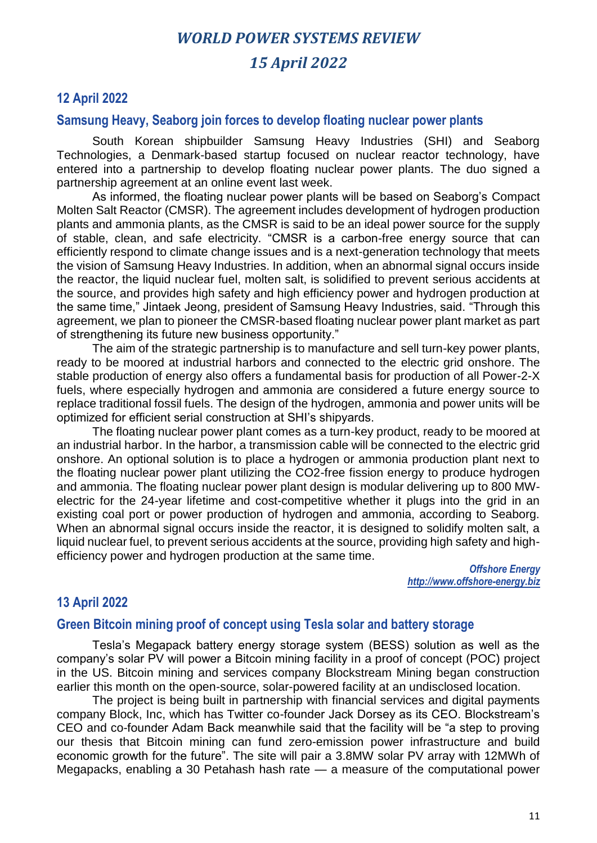# *WORLD POWER SYSTEMS REVIEW 15 April 2022*

## **12 April 2022**

#### **Samsung Heavy, Seaborg join forces to develop floating nuclear power plants**

South Korean shipbuilder Samsung Heavy Industries (SHI) and Seaborg Technologies, a Denmark-based startup focused on nuclear reactor technology, have entered into a partnership to develop floating nuclear power plants. The duo signed a partnership agreement at an online event last week.

As informed, the floating nuclear power plants will be based on Seaborg's Compact Molten Salt Reactor (CMSR). The agreement includes development of hydrogen production plants and ammonia plants, as the CMSR is said to be an ideal power source for the supply of stable, clean, and safe electricity. "CMSR is a carbon-free energy source that can efficiently respond to climate change issues and is a next-generation technology that meets the vision of Samsung Heavy Industries. In addition, when an abnormal signal occurs inside the reactor, the liquid nuclear fuel, molten salt, is solidified to prevent serious accidents at the source, and provides high safety and high efficiency power and hydrogen production at the same time," Jintaek Jeong, president of Samsung Heavy Industries, said. "Through this agreement, we plan to pioneer the CMSR-based floating nuclear power plant market as part of strengthening its future new business opportunity."

The aim of the strategic partnership is to manufacture and sell turn-key power plants, ready to be moored at industrial harbors and connected to the electric grid onshore. The stable production of energy also offers a fundamental basis for production of all Power-2-X fuels, where especially hydrogen and ammonia are considered a future energy source to replace traditional fossil fuels. The design of the hydrogen, ammonia and power units will be optimized for efficient serial construction at SHI's shipyards.

The floating nuclear power plant comes as a turn-key product, ready to be moored at an industrial harbor. In the harbor, a transmission cable will be connected to the electric grid onshore. An optional solution is to place a hydrogen or ammonia production plant next to the floating nuclear power plant utilizing the CO2-free fission energy to produce hydrogen and ammonia. The floating nuclear power plant design is modular delivering up to 800 MWelectric for the 24-year lifetime and cost-competitive whether it plugs into the grid in an existing coal port or power production of hydrogen and ammonia, according to Seaborg. When an abnormal signal occurs inside the reactor, it is designed to solidify molten salt, a liquid nuclear fuel, to prevent serious accidents at the source, providing high safety and highefficiency power and hydrogen production at the same time.

> *Offshore Energy http://www.offshore-energy.biz*

#### **13 April 2022**

#### **Green Bitcoin mining proof of concept using Tesla solar and battery storage**

Tesla's Megapack battery energy storage system (BESS) solution as well as the company's solar PV will power a Bitcoin mining facility in a proof of concept (POC) project in the US. Bitcoin mining and services company Blockstream Mining began construction earlier this month on the open-source, solar-powered facility at an undisclosed location.

The project is being built in partnership with financial services and digital payments company Block, Inc, which has Twitter co-founder Jack Dorsey as its CEO. Blockstream's CEO and co-founder Adam Back meanwhile said that the facility will be "a step to proving our thesis that Bitcoin mining can fund zero-emission power infrastructure and build economic growth for the future". The site will pair a 3.8MW solar PV array with 12MWh of Megapacks, enabling a 30 Petahash hash rate — a measure of the computational power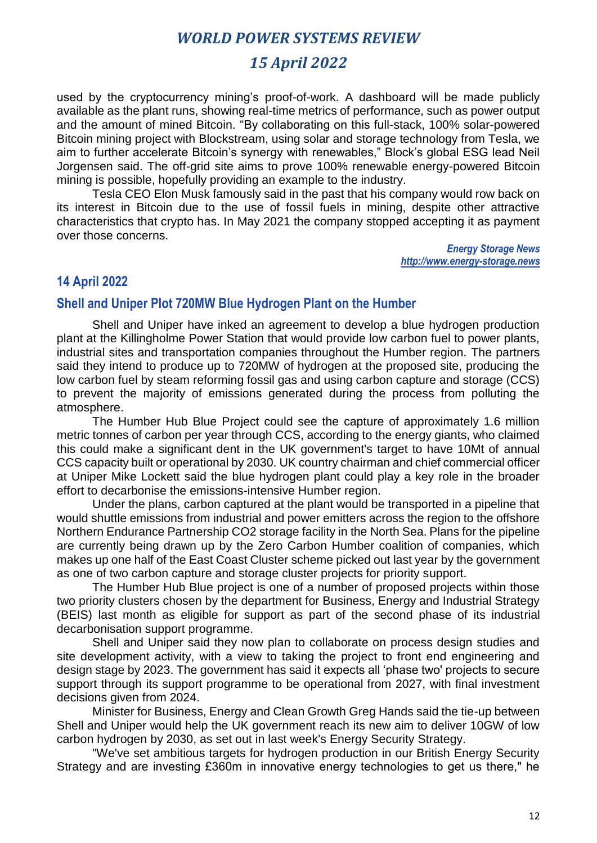## *15 April 2022*

used by the cryptocurrency mining's proof-of-work. A dashboard will be made publicly available as the plant runs, showing real-time metrics of performance, such as power output and the amount of mined Bitcoin. "By collaborating on this full-stack, 100% solar-powered Bitcoin mining project with Blockstream, using solar and storage technology from Tesla, we aim to further accelerate Bitcoin's synergy with renewables," Block's global ESG lead Neil Jorgensen said. The off-grid site aims to prove 100% renewable energy-powered Bitcoin mining is possible, hopefully providing an example to the industry.

Tesla CEO Elon Musk famously said in the past that his company would row back on its interest in Bitcoin due to the use of fossil fuels in mining, despite other attractive characteristics that crypto has. In May 2021 the company stopped accepting it as payment over those concerns.

> *Energy Storage News http://www.energy-storage.news*

#### **14 April 2022**

#### **Shell and Uniper Plot 720MW Blue Hydrogen Plant on the Humber**

Shell and Uniper have inked an agreement to develop a blue hydrogen production plant at the Killingholme Power Station that would provide low carbon fuel to power plants, industrial sites and transportation companies throughout the Humber region. The partners said they intend to produce up to 720MW of hydrogen at the proposed site, producing the low carbon fuel by steam reforming fossil gas and using carbon capture and storage (CCS) to prevent the majority of emissions generated during the process from polluting the atmosphere.

The Humber Hub Blue Project could see the capture of approximately 1.6 million metric tonnes of carbon per year through CCS, according to the energy giants, who claimed this could make a significant dent in the UK government's target to have 10Mt of annual CCS capacity built or operational by 2030. UK country chairman and chief commercial officer at Uniper Mike Lockett said the blue hydrogen plant could play a key role in the broader effort to decarbonise the emissions-intensive Humber region.

Under the plans, carbon captured at the plant would be transported in a pipeline that would shuttle emissions from industrial and power emitters across the region to the offshore Northern Endurance Partnership CO2 storage facility in the North Sea. Plans for the pipeline are currently being drawn up by the Zero Carbon Humber coalition of companies, which makes up one half of the East Coast Cluster scheme picked out last year by the government as one of two carbon capture and storage cluster projects for priority support.

The Humber Hub Blue project is one of a number of proposed projects within those two priority clusters chosen by the department for Business, Energy and Industrial Strategy (BEIS) last month as eligible for support as part of the second phase of its industrial decarbonisation support programme.

Shell and Uniper said they now plan to collaborate on process design studies and site development activity, with a view to taking the project to front end engineering and design stage by 2023. The government has said it expects all 'phase two' projects to secure support through its support programme to be operational from 2027, with final investment decisions given from 2024.

Minister for Business, Energy and Clean Growth Greg Hands said the tie-up between Shell and Uniper would help the UK government reach its new aim to deliver 10GW of low carbon hydrogen by 2030, as set out in last week's Energy Security Strategy.

"We've set ambitious targets for hydrogen production in our British Energy Security Strategy and are investing £360m in innovative energy technologies to get us there," he